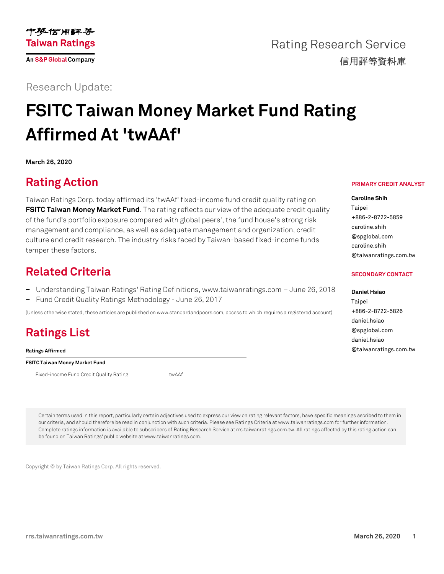

**Rating Research Service** 信用評等資料庫

**Research Update:** 

# **FSITC Taiwan Money Market Fund Rating Affirmed At 'twAAf'**

**March 26, 2020**

### **Rating Action**

Taiwan Ratings Corp. today affirmed its 'twAAf' fixed-income fund credit quality rating on **[FSITC Taiwan Money Market Fund](https://rrs.taiwanratings.com.tw/portal/member/viewFund/536)**. The rating reflects our view of the adequate credit quality of the fund's portfolio exposure compared with global peers', the fund house's strong risk management and compliance, as well as adequate management and organization, credit culture and credit research. The industry risks faced by Taiwan-based fixed-income funds temper these factors.

#### **Related Criteria**

- − Understanding Taiwan Ratings' Rating Definitions, www.taiwanratings.com June 26, 2018
- − Fund Credit Quality Ratings Methodology June 26, 2017

(Unless otherwise stated, these articles are published on www.standardandpoors.com, access to which requires a registered account)

## **Ratings List**

**Ratings Affirmed**

| FSITC Taiwan Money Market Fund |  |
|--------------------------------|--|
|--------------------------------|--|

Fixed-income Fund Credit Quality Rating twaAf

**PRIMARY CREDIT ANALYST**

**Caroline Shih** Taipei +886-2-8722-5859 caroline.shih @spglobal.com caroline.shih @taiwanratings.com.tw

#### **SECONDARY CONTACT**

**Daniel Hsiao** Taipei +886-2-8722-5826 daniel.hsiao @spglobal.com daniel.hsiao @taiwanratings.com.tw

Certain terms used in this report, particularly certain adjectives used to express our view on rating relevant factors, have specific meanings ascribed to them in our criteria, and should therefore be read in conjunction with such criteria. Please see Ratings Criteria at www.taiwanratings.com for further information. Complete ratings information is available to subscribers of Rating Research Service at rrs.taiwanratings.com.tw. All ratings affected by this rating action can be found on Taiwan Ratings' public website at www.taiwanratings.com.

Copyright © by Taiwan Ratings Corp. All rights reserved.